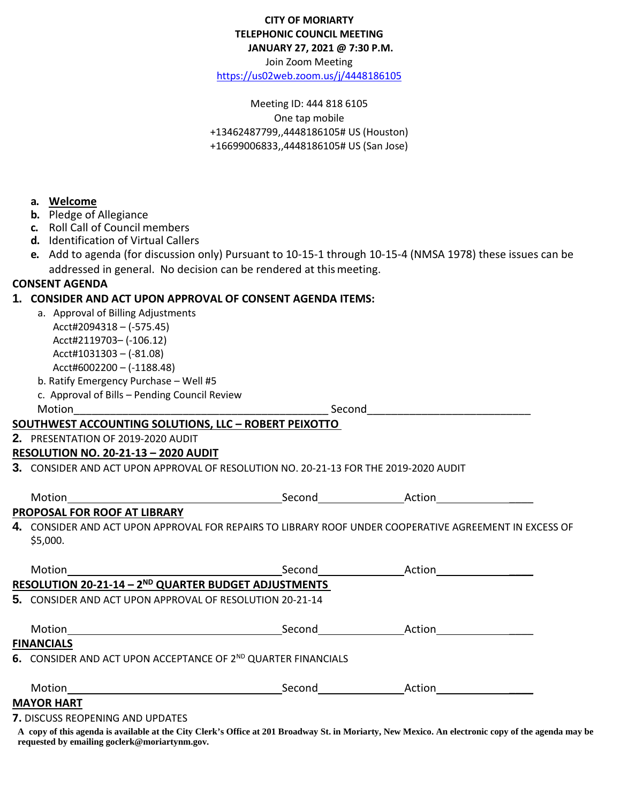#### **CITY OF MORIARTY TELEPHONIC COUNCIL MEETING JANUARY 27, 2021 @ 7:30 P.M.**

Join Zoom Meeting

<https://us02web.zoom.us/j/4448186105>

Meeting ID: 444 818 6105 One tap mobile +13462487799,,4448186105# US (Houston) +16699006833,,4448186105# US (San Jose)

#### **a. Welcome**

- **b.** Pledge of Allegiance
- **c.** Roll Call of Council members
- **d.** Identification of Virtual Callers
- **e.** Add to agenda (for discussion only) Pursuant to 10-15-1 through 10-15-4 (NMSA 1978) these issues can be addressed in general. No decision can be rendered at thismeeting.

# **CONSENT AGENDA**

# **1. CONSIDER AND ACT UPON APPROVAL OF CONSENT AGENDA ITEMS:**

| a. Approval of Billing Adjustments |
|------------------------------------|
| Acct#2094318 - (-575.45)           |
| Acct#2119703- (-106.12)            |
| Acct#1031303 - (-81.08)            |
| Acct#6002200 - (-1188.48)          |
|                                    |

- b. Ratify Emergency Purchase Well #5
- c. Approval of Bills Pending Council Review

Motion\_\_\_\_\_\_\_\_\_\_\_\_\_\_\_\_\_\_\_\_\_\_\_\_\_\_\_\_\_\_\_\_\_\_\_\_\_\_\_\_\_\_ Second\_\_\_\_\_\_\_\_\_\_\_\_\_\_\_\_\_\_\_\_\_\_\_\_\_\_\_

### **SOUTHWEST ACCOUNTING SOLUTIONS, LLC – ROBERT PEIXOTTO**

**2.** PRESENTATION OF 2019-2020 AUDIT

### **RESOLUTION NO. 20-21-13 – 2020 AUDIT**

**3.** CONSIDER AND ACT UPON APPROVAL OF RESOLUTION NO. 20-21-13 FOR THE 2019-2020 AUDIT

| Motion                                                                                                        | Second | Action |
|---------------------------------------------------------------------------------------------------------------|--------|--------|
| PROPOSAL FOR ROOF AT LIBRARY                                                                                  |        |        |
| $\bf 4.~$ CONSIDER AND ACT UPON APPROVAL FOR REPAIRS TO LIBRARY ROOF UNDER COOPERATIVE AGREEMENT IN EXCESS OF |        |        |
| \$5,000.                                                                                                      |        |        |

| Motion                                                                    | Second | Action |  |
|---------------------------------------------------------------------------|--------|--------|--|
| RESOLUTION 20-21-14 - 2 <sup>ND</sup> QUARTER BUDGET ADJUSTMENTS          |        |        |  |
| 5. CONSIDER AND ACT UPON APPROVAL OF RESOLUTION 20-21-14                  |        |        |  |
| Motion                                                                    | Second | Action |  |
| <b>FINANCIALS</b>                                                         |        |        |  |
| 6. CONSIDER AND ACT UPON ACCEPTANCE OF 2 <sup>ND</sup> QUARTER FINANCIALS |        |        |  |
| Motion                                                                    | Second | Action |  |
| <b>MAYOR HART</b>                                                         |        |        |  |
| <b>7. DISCUSS REOPENING AND UPDATES</b>                                   |        |        |  |

**A copy of this agenda is available at the City Clerk's Office at 201 Broadway St. in Moriarty, New Mexico. An electronic copy of the agenda may be requested by emailing goclerk@moriartynm.gov.**